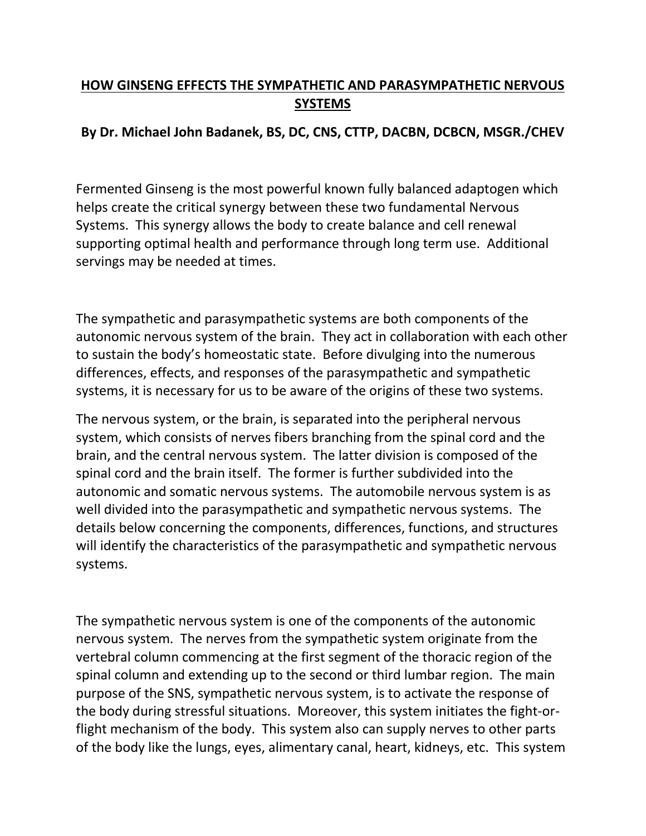## **HOW GINSENG EFFECTS THE SYMPATHETIC AND PARASYMPATHETIC NERVOUS SYSTEMS**

## **By Dr. Michael John Badanek, BS, DC, CNS, CTTP, DACBN, DCBCN, MSGR./CHEV**

Fermented Ginseng is the most powerful known fully balanced adaptogen which helps create the critical synergy between these two fundamental Nervous Systems. This synergy allows the body to create balance and cell renewal supporting optimal health and performance through long term use. Additional servings may be needed at times.

The sympathetic and parasympathetic systems are both components of the autonomic nervous system of the brain. They act in collaboration with each other to sustain the body's homeostatic state. Before divulging into the numerous differences, effects, and responses of the parasympathetic and sympathetic systems, it is necessary for us to be aware of the origins of these two systems.

The nervous system, or the brain, is separated into the peripheral nervous system, which consists of nerves fibers branching from the spinal cord and the brain, and the central nervous system. The latter division is composed of the spinal cord and the brain itself. The former is further subdivided into the autonomic and somatic nervous systems. The automobile nervous system is as well divided into the parasympathetic and sympathetic nervous systems. The details below concerning the components, differences, functions, and structures will identify the characteristics of the parasympathetic and sympathetic nervous systems.

The sympathetic nervous system is one of the components of the autonomic nervous system. The nerves from the sympathetic system originate from the vertebral column commencing at the first segment of the thoracic region of the spinal column and extending up to the second or third lumbar region. The main purpose of the SNS, sympathetic nervous system, is to activate the response of the body during stressful situations. Moreover, this system initiates the fight-orflight mechanism of the body. This system also can supply nerves to other parts of the body like the lungs, eyes, alimentary canal, heart, kidneys, etc. This system